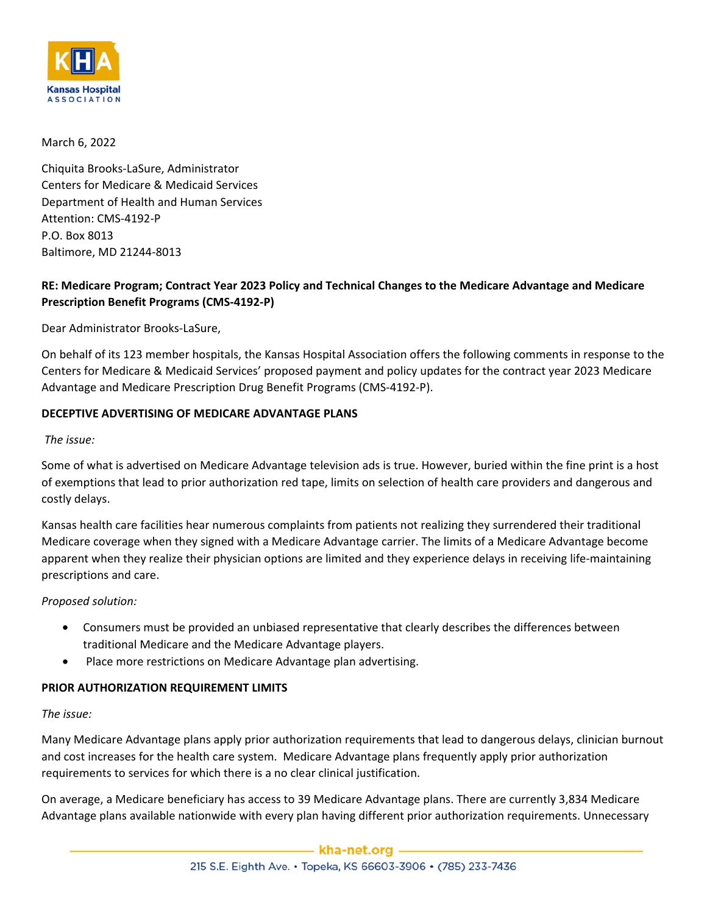

# March 6, 2022

Chiquita Brooks-LaSure, Administrator Centers for Medicare & Medicaid Services Department of Health and Human Services Attention: CMS-4192-P P.O. Box 8013 Baltimore, MD 21244-8013

# **RE: Medicare Program; Contract Year 2023 Policy and Technical Changes to the Medicare Advantage and Medicare Prescription Benefit Programs (CMS-4192-P)**

Dear Administrator Brooks-LaSure,

On behalf of its 123 member hospitals, the Kansas Hospital Association offers the following comments in response to the Centers for Medicare & Medicaid Services' proposed payment and policy updates for the contract year 2023 Medicare Advantage and Medicare Prescription Drug Benefit Programs (CMS-4192-P).

# **DECEPTIVE ADVERTISING OF MEDICARE ADVANTAGE PLANS**

### *The issue:*

Some of what is advertised on Medicare Advantage television ads is true. However, buried within the fine print is a host of exemptions that lead to prior authorization red tape, limits on selection of health care providers and dangerous and costly delays.

Kansas health care facilities hear numerous complaints from patients not realizing they surrendered their traditional Medicare coverage when they signed with a Medicare Advantage carrier. The limits of a Medicare Advantage become apparent when they realize their physician options are limited and they experience delays in receiving life-maintaining prescriptions and care.

# *Proposed solution:*

- Consumers must be provided an unbiased representative that clearly describes the differences between traditional Medicare and the Medicare Advantage players.
- Place more restrictions on Medicare Advantage plan advertising.

# **PRIOR AUTHORIZATION REQUIREMENT LIMITS**

#### *The issue:*

Many Medicare Advantage plans apply prior authorization requirements that lead to dangerous delays, clinician burnout and cost increases for the health care system. Medicare Advantage plans frequently apply prior authorization requirements to services for which there is a no clear clinical justification.

On average, a Medicare beneficiary has access to 39 Medicare Advantage plans. There are currently 3,834 Medicare Advantage plans available nationwide with every plan having different prior authorization requirements. Unnecessary